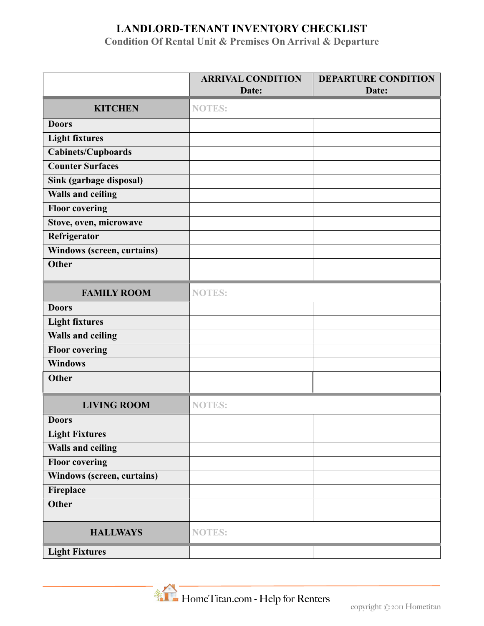## **LANDLORD-TENANT INVENTORY CHECKLIST**

**Condition Of Rental Unit & Premises On Arrival & Departure**

|                            | <b>ARRIVAL CONDITION</b> | <b>DEPARTURE CONDITION</b> |  |
|----------------------------|--------------------------|----------------------------|--|
|                            | Date:                    | Date:                      |  |
| <b>KITCHEN</b>             | <b>NOTES:</b>            |                            |  |
| <b>Doors</b>               |                          |                            |  |
| <b>Light fixtures</b>      |                          |                            |  |
| <b>Cabinets/Cupboards</b>  |                          |                            |  |
| <b>Counter Surfaces</b>    |                          |                            |  |
| Sink (garbage disposal)    |                          |                            |  |
| Walls and ceiling          |                          |                            |  |
| <b>Floor covering</b>      |                          |                            |  |
| Stove, oven, microwave     |                          |                            |  |
| Refrigerator               |                          |                            |  |
| Windows (screen, curtains) |                          |                            |  |
| <b>Other</b>               |                          |                            |  |
|                            |                          |                            |  |
| <b>FAMILY ROOM</b>         | <b>NOTES:</b>            |                            |  |
| <b>Doors</b>               |                          |                            |  |
| <b>Light fixtures</b>      |                          |                            |  |
| <b>Walls and ceiling</b>   |                          |                            |  |
| <b>Floor covering</b>      |                          |                            |  |
| <b>Windows</b>             |                          |                            |  |
| <b>Other</b>               |                          |                            |  |
| <b>LIVING ROOM</b>         | <b>NOTES:</b>            |                            |  |
| <b>Doors</b>               |                          |                            |  |
| <b>Light Fixtures</b>      |                          |                            |  |
| Walls and ceiling          |                          |                            |  |
| <b>Floor covering</b>      |                          |                            |  |
| Windows (screen, curtains) |                          |                            |  |
| Fireplace                  |                          |                            |  |
| <b>Other</b>               |                          |                            |  |
| <b>HALLWAYS</b>            | <b>NOTES:</b>            |                            |  |
| <b>Light Fixtures</b>      |                          |                            |  |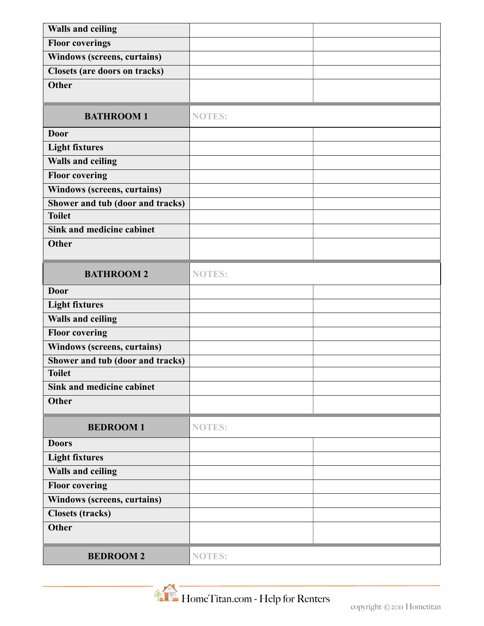| <b>Walls and ceiling</b>             |               |  |  |
|--------------------------------------|---------------|--|--|
| <b>Floor coverings</b>               |               |  |  |
| Windows (screens, curtains)          |               |  |  |
| <b>Closets (are doors on tracks)</b> |               |  |  |
| <b>Other</b>                         |               |  |  |
|                                      |               |  |  |
| <b>BATHROOM1</b>                     | <b>NOTES:</b> |  |  |
| <b>Door</b>                          |               |  |  |
| <b>Light fixtures</b>                |               |  |  |
| <b>Walls and ceiling</b>             |               |  |  |
| <b>Floor covering</b>                |               |  |  |
| <b>Windows (screens, curtains)</b>   |               |  |  |
| Shower and tub (door and tracks)     |               |  |  |
| <b>Toilet</b>                        |               |  |  |
| Sink and medicine cabinet            |               |  |  |
| <b>Other</b>                         |               |  |  |
| <b>BATHROOM 2</b>                    | <b>NOTES:</b> |  |  |
| <b>Door</b>                          |               |  |  |
| <b>Light fixtures</b>                |               |  |  |
| <b>Walls and ceiling</b>             |               |  |  |
| <b>Floor covering</b>                |               |  |  |
| Windows (screens, curtains)          |               |  |  |
| Shower and tub (door and tracks)     |               |  |  |
| <b>Toilet</b>                        |               |  |  |
| Sink and medicine cabinet            |               |  |  |
| <b>Other</b>                         |               |  |  |
| <b>BEDROOM1</b>                      | <b>NOTES:</b> |  |  |
| <b>Doors</b>                         |               |  |  |
| <b>Light fixtures</b>                |               |  |  |
| <b>Walls and ceiling</b>             |               |  |  |
| <b>Floor covering</b>                |               |  |  |
| Windows (screens, curtains)          |               |  |  |
| <b>Closets (tracks)</b>              |               |  |  |
| <b>Other</b>                         |               |  |  |
| <b>BEDROOM2</b>                      | <b>NOTES:</b> |  |  |